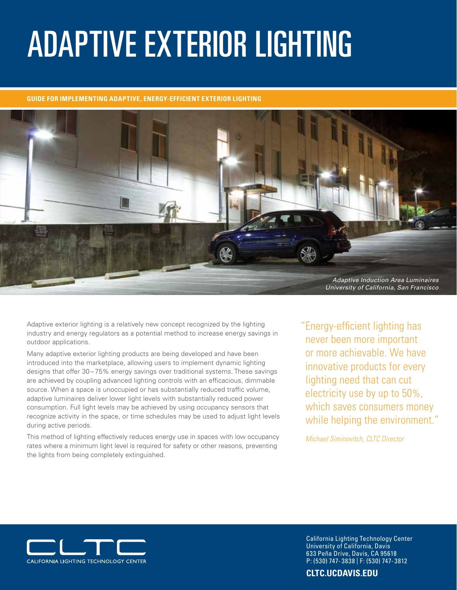# Adaptive Exterior Lighting

#### **GUIDE FOR implementing ADAPTIVE, ENERGY-EFFICIENT EXTERIOR LIGHTING**



Adaptive exterior lighting is a relatively new concept recognized by the lighting industry and energy regulators as a potential method to increase energy savings in outdoor applications.

Many adaptive exterior lighting products are being developed and have been introduced into the marketplace, allowing users to implement dynamic lighting designs that offer 30-75% energy savings over traditional systems. These savings are achieved by coupling advanced lighting controls with an efficacious, dimmable source. When a space is unoccupied or has substantially reduced traffic volume, adaptive luminaires deliver lower light levels with substantially reduced power consumption. Full light levels may be achieved by using occupancy sensors that recognize activity in the space, or time schedules may be used to adjust light levels during active periods.

This method of lighting effectively reduces energy use in spaces with low occupancy rates where a minimum light level is required for safety or other reasons, preventing the lights from being completely extinguished.

"Energy-efficient lighting has never been more important or more achievable. We have innovative products for every lighting need that can cut electricity use by up to 50%, which saves consumers money while helping the environment."

*Michael Siminovitch, CLTC Director*



California Lighting Technology Center University of California, Davis 633 Peña Drive, Davis, CA 95618 P: (530) 747- 3838 | F: (530) 747- 3812

**[CLTC.UCDAVIS.EDU](http://cltc.ucdavis.edu)**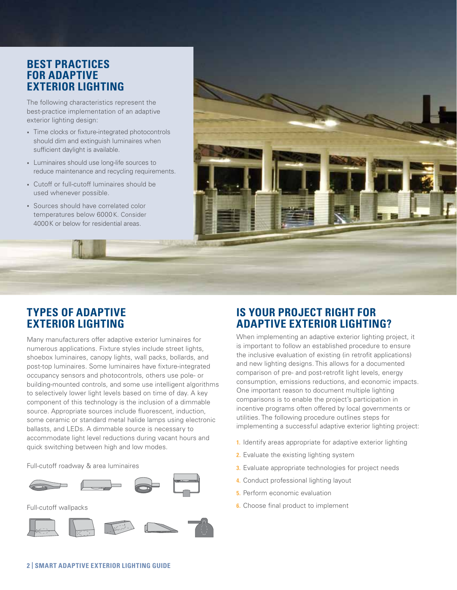## **BEST PRACTICES FOR adaptive EXTERIOR LIGHTING**

The following characteristics represent the best-practice implementation of an adaptive exterior lighting design:

- **∙** Time clocks or fixture-integrated photocontrols should dim and extinguish luminaires when sufficient daylight is available.
- **∙** Luminaires should use long-life sources to reduce maintenance and recycling requirements.
- **∙** Cutoff or full-cutoff luminaires should be used whenever possible.
- **∙** Sources should have correlated color temperatures below 6000 K. Consider 4000K or below for residential areas.

## **TYPES OF Adaptive EXTERIOR LIGHTING**

Many manufacturers offer adaptive exterior luminaires for numerous applications. Fixture styles include street lights, shoebox luminaires, canopy lights, wall packs, bollards, and post-top luminaires. Some luminaires have fixture-integrated occupancy sensors and photocontrols, others use pole- or building-mounted controls, and some use intelligent algorithms to selectively lower light levels based on time of day. A key component of this technology is the inclusion of a dimmable source. Appropriate sources include fluorescent, induction, some ceramic or standard metal halide lamps using electronic ballasts, and LEDs. A dimmable source is necessary to accommodate light level reductions during vacant hours and quick switching between high and low modes.

Full-cutoff roadway & area luminaires









## **Is Your Project Right For Adaptive exterior Lighting?**

When implementing an adaptive exterior lighting project, it is important to follow an established procedure to ensure the inclusive evaluation of existing (in retrofit applications) and new lighting designs. This allows for a documented comparison of pre- and post-retrofit light levels, energy consumption, emissions reductions, and economic impacts. One important reason to document multiple lighting comparisons is to enable the project's participation in incentive programs often offered by local governments or utilities. The following procedure outlines steps for implementing a successful adaptive exterior lighting project:

- **1.** Identify areas appropriate for adaptive exterior lighting
- **2.** Evaluate the existing lighting system
- **3.** Evaluate appropriate technologies for project needs
- **4.** Conduct professional lighting layout
- **5.** Perform economic evaluation
- **6.** Choose final product to implement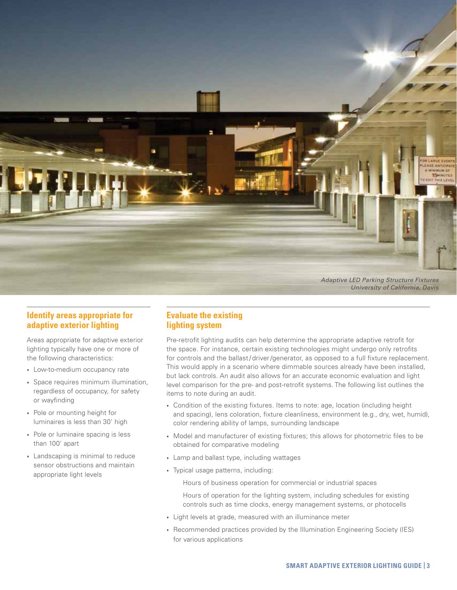

#### **Identify areas appropriate for adaptive exterior lighting**

Areas appropriate for adaptive exterior lighting typically have one or more of the following characteristics:

- **∙** Low-to-medium occupancy rate
- **∙** Space requires minimum illumination, regardless of occupancy, for safety or wayfinding
- **∙** Pole or mounting height for luminaires is less than 30' high
- **∙** Pole or luminaire spacing is less than 100' apart
- **∙** Landscaping is minimal to reduce sensor obstructions and maintain appropriate light levels

#### **Evaluate the existing lighting system**

Pre-retrofit lighting audits can help determine the appropriate adaptive retrofit for the space. For instance, certain existing technologies might undergo only retrofits for controls and the ballast/driver/generator, as opposed to a full fixture replacement. This would apply in a scenario where dimmable sources already have been installed, but lack controls. An audit also allows for an accurate economic evaluation and light level comparison for the pre- and post-retrofit systems. The following list outlines the items to note during an audit.

- **∙** Condition of the existing fixtures. Items to note: age, location (including height and spacing), lens coloration, fixture cleanliness, environment (e.g., dry, wet, humid), color rendering ability of lamps, surrounding landscape
- **∙** Model and manufacturer of existing fixtures; this allows for photometric files to be obtained for comparative modeling
- **∙** Lamp and ballast type, including wattages
- **∙** Typical usage patterns, including:

Hours of business operation for commercial or industrial spaces

Hours of operation for the lighting system, including schedules for existing controls such as time clocks, energy management systems, or photocells

- **∙** Light levels at grade, measured with an illuminance meter
- **∙** Recommended practices provided by the Illumination Engineering Society (IES) for various applications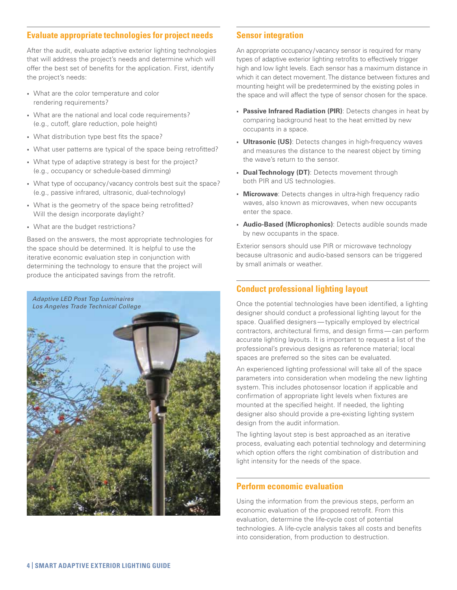#### **Evaluate appropriate technologies for project needs**

After the audit, evaluate adaptive exterior lighting technologies that will address the project's needs and determine which will offer the best set of benefits for the application. First, identify the project's needs:

- **∙** What are the color temperature and color rendering requirements?
- **∙** What are the national and local code requirements? (e.g., cutoff, glare reduction, pole height)
- **∙** What distribution type best fits the space?
- **∙** What user patterns are typical of the space being retrofitted?
- **∙** What type of adaptive strategy is best for the project? (e.g., occupancy or schedule-based dimming)
- **∙** What type of occupancy/vacancy controls best suit the space? (e.g., passive infrared, ultrasonic, dual-technology)
- **∙** What is the geometry of the space being retrofitted? Will the design incorporate daylight?
- **∙** What are the budget restrictions?

Based on the answers, the most appropriate technologies for the space should be determined. It is helpful to use the iterative economic evaluation step in conjunction with determining the technology to ensure that the project will produce the anticipated savings from the retrofit.



#### **Sensor integration**

An appropriate occupancy/vacancy sensor is required for many types of adaptive exterior lighting retrofits to effectively trigger high and low light levels. Each sensor has a maximum distance in which it can detect movement. The distance between fixtures and mounting height will be predetermined by the existing poles in the space and will affect the type of sensor chosen for the space.

- **∙ Passive Infrared Radiation (PIR)**: Detects changes in heat by comparing background heat to the heat emitted by new occupants in a space.
- **∙ Ultrasonic (US)**: Detects changes in high-frequency waves and measures the distance to the nearest object by timing the wave's return to the sensor.
- **∙ Dual Technology (DT)**: Detects movement through both PIR and US technologies.
- **∙ Microwave**: Detects changes in ultra-high frequency radio waves, also known as microwaves, when new occupants enter the space.
- **∙ Audio-Based (Microphonics)**: Detects audible sounds made by new occupants in the space.

Exterior sensors should use PIR or microwave technology because ultrasonic and audio-based sensors can be triggered by small animals or weather.

#### **Conduct professional lighting layout**

Once the potential technologies have been identified, a lighting designer should conduct a professional lighting layout for the space. Qualified designers—typically employed by electrical contractors, architectural firms, and design firms—can perform accurate lighting layouts. It is important to request a list of the professional's previous designs as reference material; local spaces are preferred so the sites can be evaluated.

An experienced lighting professional will take all of the space parameters into consideration when modeling the new lighting system. This includes photosensor location if applicable and confirmation of appropriate light levels when fixtures are mounted at the specified height. If needed, the lighting designer also should provide a pre-existing lighting system design from the audit information.

The lighting layout step is best approached as an iterative process, evaluating each potential technology and determining which option offers the right combination of distribution and light intensity for the needs of the space.

#### **Perform economic evaluation**

Using the information from the previous steps, perform an economic evaluation of the proposed retrofit. From this evaluation, determine the life-cycle cost of potential technologies. A life-cycle analysis takes all costs and benefits into consideration, from production to destruction.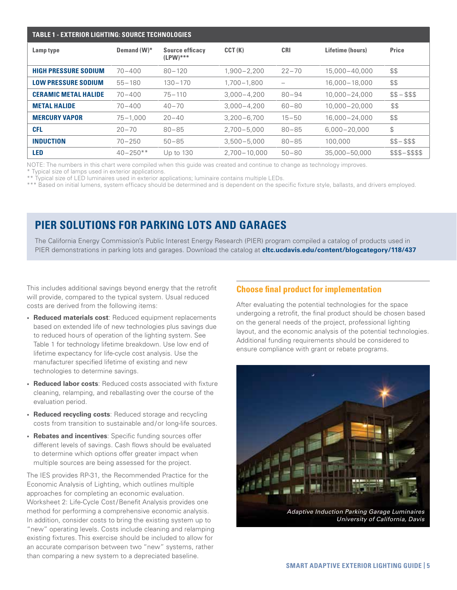| <b>TABLE 1 - EXTERIOR LIGHTING: SOURCE TECHNOLOGIES</b> |              |                                       |                  |            |                  |                 |  |  |  |
|---------------------------------------------------------|--------------|---------------------------------------|------------------|------------|------------------|-----------------|--|--|--|
| Lamp type                                               | Demand (W)*  | <b>Source efficacy</b><br>$(LPW)$ *** | CCT(K)           | <b>CRI</b> | Lifetime (hours) | <b>Price</b>    |  |  |  |
| <b>HIGH PRESSURE SODIUM</b>                             | $70 - 400$   | $80 - 120$                            | $1,900 - 2,200$  | $22 - 70$  | 15.000-40.000    | \$\$            |  |  |  |
| <b>LOW PRESSURE SODIUM</b>                              | $55 - 180$   | $130 - 170$                           | 1.700-1.800      |            | 16.000 - 18.000  | \$\$            |  |  |  |
| <b>CERAMIC METAL HALIDE</b>                             | $70 - 400$   | $75 - 110$                            | $3.000 - 4.200$  | $80 - 94$  | 10.000-24.000    | $$5 - $55$      |  |  |  |
| <b>METAL HALIDE</b>                                     | $70 - 400$   | $40 - 70$                             | $3.000 - 4.200$  | $60 - 80$  | 10.000 - 20.000  | \$\$            |  |  |  |
| <b>MERCURY VAPOR</b>                                    | $75 - 1.000$ | $20 - 40$                             | $3.200 - 6.700$  | $15 - 50$  | 16.000-24.000    | \$\$            |  |  |  |
| <b>CFL</b>                                              | $20 - 70$    | $80 - 85$                             | $2.700 - 5.000$  | $80 - 85$  | $6.000 - 20.000$ | $\mathcal{L}$   |  |  |  |
| <b>INDUCTION</b>                                        | $70 - 250$   | $50 - 85$                             | $3.500 - 5.000$  | $80 - 85$  | 100.000          | $$5 - $55$      |  |  |  |
| LED                                                     | $40 - 250**$ | Up to 130                             | $2.700 - 10.000$ | $50 - 80$  | 35.000-50.000    | \$\$\$-\$\$\$\$ |  |  |  |

NOTE: The numbers in this chart were compiled when this guide was created and continue to change as technology improves. \* Typical size of lamps used in exterior applications.

\*\* Typical size of LED luminaires used in exterior applications; luminaire contains multiple LEDs.

\*\*\* Based on initial lumens, system efficacy should be determined and is dependent on the specific fixture style, ballasts, and drivers employed.

## **PIER solutions for Parking [Lots And Garages](http://cltc.ucdavis.edu/images/documents/catalogs_spec_sheets/2010_pier_catalog_lots_and_garages.pdf)**

The California Energy Commission's Public Interest Energy Research (PIER) program compiled a catalog of products used in PIER demonstrations in parking lots and garages. Download the catalog at **[cltc.ucdavis.edu/content/blogcategory/118/437](http://cltc.ucdavis.edu/content/blogcategory/118/437)**

This includes additional savings beyond energy that the retrofit will provide, compared to the typical system. Usual reduced costs are derived from the following items:

- **∙ Reduced materials cost**: Reduced equipment replacements based on extended life of new technologies plus savings due to reduced hours of operation of the lighting system. See Table 1 for technology lifetime breakdown. Use low end of lifetime expectancy for life-cycle cost analysis. Use the manufacturer specified lifetime of existing and new technologies to determine savings.
- **∙ Reduced labor costs**: Reduced costs associated with fixture cleaning, relamping, and reballasting over the course of the evaluation period.
- **∙ Reduced recycling costs**: Reduced storage and recycling costs from transition to sustainable and / or long-life sources.
- **∙ Rebates and incentives**: Specific funding sources offer different levels of savings. Cash flows should be evaluated to determine which options offer greater impact when multiple sources are being assessed for the project.

The IES provides RP-31, the Recommended Practice for the Economic Analysis of Lighting, which outlines multiple approaches for completing an economic evaluation. Worksheet 2: Life-Cycle Cost/Benefit Analysis provides one method for performing a comprehensive economic analysis. In addition, consider costs to bring the existing system up to "new" operating levels. Costs include cleaning and relamping existing fixtures. This exercise should be included to allow for an accurate comparison between two "new" systems, rather than comparing a new system to a depreciated baseline.

#### **Choose final product for implementation**

After evaluating the potential technologies for the space undergoing a retrofit, the final product should be chosen based on the general needs of the project, professional lighting layout, and the economic analysis of the potential technologies. Additional funding requirements should be considered to ensure compliance with grant or rebate programs.



**Smart Adaptive Exterior Lighting Guide | 5**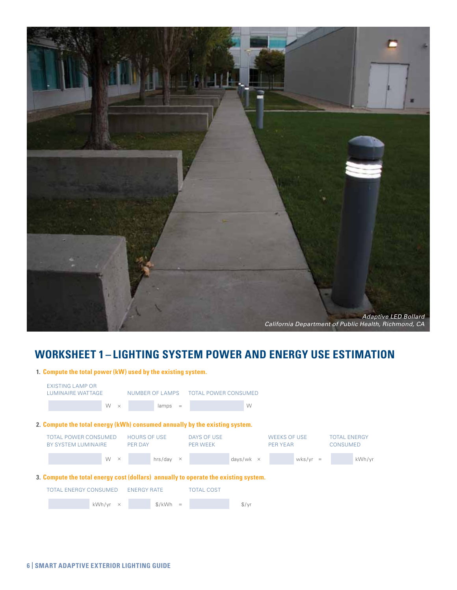

## **Worksheet 1 – Lighting system power and energy use estimation**

| 1. Compute the total power (kW) used by the existing system.                        |                                                    |                                       |                     |                                      |                  |                                        |                                 |  |  |
|-------------------------------------------------------------------------------------|----------------------------------------------------|---------------------------------------|---------------------|--------------------------------------|------------------|----------------------------------------|---------------------------------|--|--|
|                                                                                     | <b>EXISTING LAMP OR</b><br>LUMINAIRE WATTAGE       |                                       |                     | NUMBER OF LAMPS TOTAL POWER CONSUMED |                  |                                        |                                 |  |  |
|                                                                                     | W<br>$\times$                                      |                                       | $lamps =$           |                                      | W                |                                        |                                 |  |  |
| 2. Compute the total energy (kWh) consumed annually by the existing system.         |                                                    |                                       |                     |                                      |                  |                                        |                                 |  |  |
|                                                                                     | <b>TOTAL POWER CONSUMED</b><br>BY SYSTEM LUMINAIRE | <b>HOURS OF USE</b><br><b>PER DAY</b> |                     | DAYS OF USE<br><b>PER WEEK</b>       |                  | <b>WEEKS OF USE</b><br><b>PER YEAR</b> | <b>TOTAL ENERGY</b><br>CONSUMED |  |  |
|                                                                                     | W<br>$\times$                                      |                                       | hrs/day<br>$\times$ |                                      | days/wk $\times$ | $wks/yr =$                             | kWh/yr                          |  |  |
| 3. Compute the total energy cost (dollars) annually to operate the existing system. |                                                    |                                       |                     |                                      |                  |                                        |                                 |  |  |
|                                                                                     | <b>TOTAL ENERGY CONSUMED</b>                       | <b>ENERGY RATE</b>                    |                     | <b>TOTAL COST</b>                    |                  |                                        |                                 |  |  |
|                                                                                     | kWh/yr<br>$\times$                                 |                                       | \$/kWh<br>$=$       |                                      | $\frac{f}{f}$    |                                        |                                 |  |  |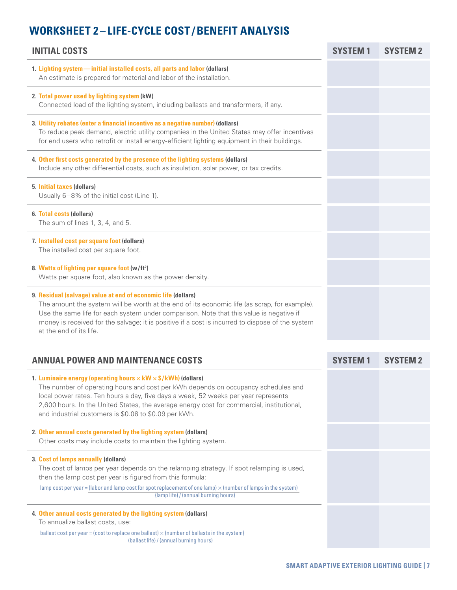## **Worksheet 2 – Life-Cycle Cost / Benefit Analysis**

| <b>INITIAL COSTS</b>                                                                                                                                                                                                                                                                                                                                                                                         | <b>SYSTEM1</b>  | SYSTEM <sub>2</sub> |
|--------------------------------------------------------------------------------------------------------------------------------------------------------------------------------------------------------------------------------------------------------------------------------------------------------------------------------------------------------------------------------------------------------------|-----------------|---------------------|
| 1. Lighting system-initial installed costs, all parts and labor (dollars)<br>An estimate is prepared for material and labor of the installation.                                                                                                                                                                                                                                                             |                 |                     |
| 2. Total power used by lighting system (kW)<br>Connected load of the lighting system, including ballasts and transformers, if any.                                                                                                                                                                                                                                                                           |                 |                     |
| 3. Utility rebates (enter a financial incentive as a negative number) (dollars)<br>To reduce peak demand, electric utility companies in the United States may offer incentives<br>for end users who retrofit or install energy-efficient lighting equipment in their buildings.                                                                                                                              |                 |                     |
| 4. Other first costs generated by the presence of the lighting systems (dollars)<br>Include any other differential costs, such as insulation, solar power, or tax credits.                                                                                                                                                                                                                                   |                 |                     |
| 5. Initial taxes (dollars)<br>Usually 6-8% of the initial cost (Line 1).                                                                                                                                                                                                                                                                                                                                     |                 |                     |
| 6. Total costs (dollars)<br>The sum of lines 1, 3, 4, and 5.                                                                                                                                                                                                                                                                                                                                                 |                 |                     |
| 7. Installed cost per square foot (dollars)<br>The installed cost per square foot.                                                                                                                                                                                                                                                                                                                           |                 |                     |
| 8. Watts of lighting per square foot (w/ft <sup>2</sup> )<br>Watts per square foot, also known as the power density.                                                                                                                                                                                                                                                                                         |                 |                     |
| 9. Residual (salvage) value at end of economic life (dollars)<br>The amount the system will be worth at the end of its economic life (as scrap, for example).<br>Use the same life for each system under comparison. Note that this value is negative if<br>money is received for the salvage; it is positive if a cost is incurred to dispose of the system<br>at the end of its life.                      |                 |                     |
|                                                                                                                                                                                                                                                                                                                                                                                                              |                 |                     |
| <b>ANNUAL POWER AND MAINTENANCE COSTS</b>                                                                                                                                                                                                                                                                                                                                                                    | <b>SYSTEM 1</b> | SYSTEM <sub>2</sub> |
| 1. Luminaire energy (operating hours $\times$ kW $\times$ \$/kWh) (dollars)<br>The number of operating hours and cost per kWh depends on occupancy schedules and<br>local power rates. Ten hours a day, five days a week, 52 weeks per year represents<br>2,600 hours. In the United States, the average energy cost for commercial, institutional,<br>and industrial customers is \$0.08 to \$0.09 per kWh. |                 |                     |
| 2. Other annual costs generated by the lighting system (dollars)<br>Other costs may include costs to maintain the lighting system.                                                                                                                                                                                                                                                                           |                 |                     |

## **3. Cost of lamps annually (dollars)**

The cost of lamps per year depends on the relamping strategy. If spot relamping is used, then the lamp cost per year is figured from this formula:

lamp cost per year = (labor and lamp cost for spot replacement of one lamp)  $\times$  (number of lamps in the system) (lamp life) / (annual burning hours)

#### **4. Other annual costs generated by the lighting system (dollars)**

To annualize ballast costs, use:

ballast cost per year = (cost to replace one ballast)  $\times$  (number of ballasts in the system) (ballast life) / (annual burning hours)